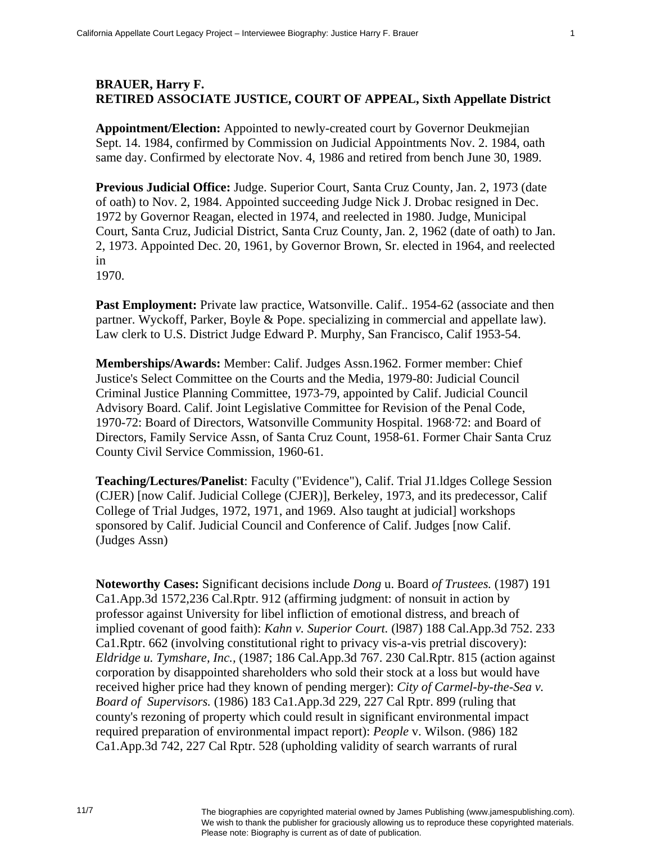## **BRAUER, Harry F. RETIRED ASSOCIATE JUSTICE, COURT OF APPEAL, Sixth Appellate District**

**Appointment/Election:** Appointed to newly-created court by Governor Deukmejian Sept. 14. 1984, confirmed by Commission on Judicial Appointments Nov. 2. 1984, oath same day. Confirmed by electorate Nov. 4, 1986 and retired from bench June 30, 1989.

**Previous Judicial Office:** Judge. Superior Court, Santa Cruz County, Jan. 2, 1973 (date of oath) to Nov. 2, 1984. Appointed succeeding Judge Nick J. Drobac resigned in Dec. 1972 by Governor Reagan, elected in 1974, and reelected in 1980. Judge, Municipal Court, Santa Cruz, Judicial District, Santa Cruz County, Jan. 2, 1962 (date of oath) to Jan. 2, 1973. Appointed Dec. 20, 1961, by Governor Brown, Sr. elected in 1964, and reelected in

1970.

**Past Employment:** Private law practice, Watsonville. Calif.. 1954-62 (associate and then partner. Wyckoff, Parker, Boyle & Pope. specializing in commercial and appellate law). Law clerk to U.S. District Judge Edward P. Murphy, San Francisco, Calif 1953-54.

**Memberships/Awards:** Member: Calif. Judges Assn.1962. Former member: Chief Justice's Select Committee on the Courts and the Media, 1979-80: Judicial Council Criminal Justice Planning Committee, 1973-79, appointed by Calif. Judicial Council Advisory Board. Calif. Joint Legislative Committee for Revision of the Penal Code, 1970-72: Board of Directors, Watsonville Community Hospital. 1968·72: and Board of Directors, Family Service Assn, of Santa Cruz Count, 1958-61. Former Chair Santa Cruz County Civil Service Commission, 1960-61.

**Teaching/Lectures/Panelist**: Faculty ("Evidence"), Calif. Trial J1.ldges College Session (CJER) [now Calif. Judicial College (CJER)], Berkeley, 1973, and its predecessor, Calif College of Trial Judges, 1972, 1971, and 1969. Also taught at judicial] workshops sponsored by Calif. Judicial Council and Conference of Calif. Judges [now Calif. (Judges Assn)

**Noteworthy Cases:** Significant decisions include *Dong* u. Board *of Trustees.* (1987) 191 Ca1.App.3d 1572,236 Cal.Rptr. 912 (affirming judgment: of nonsuit in action by professor against University for libel infliction of emotional distress, and breach of implied covenant of good faith): *Kahn v. Superior Court.* (l987) 188 Cal.App.3d 752. 233 Ca1.Rptr. 662 (involving constitutional right to privacy vis-a-vis pretrial discovery): *Eldridge u. Tymshare, Inc.,* (1987; 186 Cal.App.3d 767. 230 Cal.Rptr. 815 (action against corporation by disappointed shareholders who sold their stock at a loss but would have received higher price had they known of pending merger): *City of Carmel-by-the-Sea v. Board of Supervisors.* (1986) 183 Ca1.App.3d 229, 227 Cal Rptr. 899 (ruling that county's rezoning of property which could result in significant environmental impact required preparation of environmental impact report): *People* v. Wilson. (986) 182 Ca1.App.3d 742, 227 Cal Rptr. 528 (upholding validity of search warrants of rural